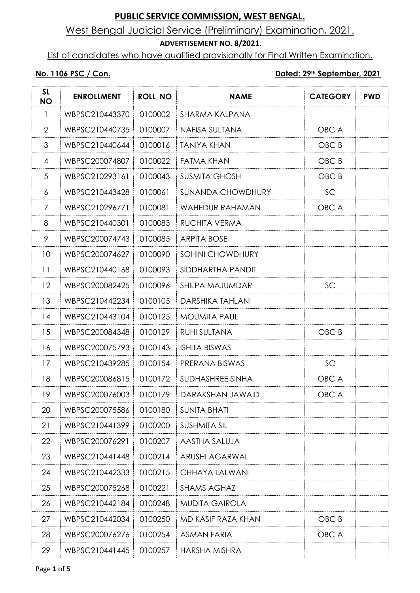## West Bengal Judicial Service (Preliminary) Examination, 2021.

#### **ADVERTISEMENT NO. 8/2021.**

List of candidates who have qualified provisionally for Final Written Examination.

#### **No. 1106 PSC / Con. Dated: 29th September, 2021**

| <b>SL</b><br><b>NO</b> | <b>ENROLLMENT</b> | <b>ROLL_NO</b> | <b>NAME</b>              | <b>CATEGORY</b>  | <b>PWD</b> |
|------------------------|-------------------|----------------|--------------------------|------------------|------------|
| $\mathbf{1}$           | WBPSC210443370    | 0100002        | SHARMA KALPANA           |                  |            |
| 2                      | WBPSC210440735    | 0100007        | NAFISA SULTANA           | OBC A            |            |
| 3                      | WBPSC210440644    | 0100016        | <b>TANIYA KHAN</b>       | OBC B            |            |
| 4                      | WBPSC200074807    | 0100022        | <b>FATMA KHAN</b>        | OBC B            |            |
| 5                      | WBPSC210293161    | 0100043        | <b>SUSMITA GHOSH</b>     | OBC B            |            |
| 6                      | WBPSC210443428    | 0100061        | <b>SUNANDA CHOWDHURY</b> | SC               |            |
| $\overline{7}$         | WBPSC210296771    | 0100081        | <b>WAHEDUR RAHAMAN</b>   | OBC A            |            |
| 8                      | WBPSC210440301    | 0100083        | RUCHITA VERMA            |                  |            |
| 9                      | WBPSC200074743    | 0100085        | <b>ARPITA BOSE</b>       |                  |            |
| 10                     | WBPSC200074627    | 0100090        | <b>SOHINI CHOWDHURY</b>  |                  |            |
| 11                     | WBPSC210440168    | 0100093        | SIDDHARTHA PANDIT        |                  |            |
| 12                     | WBPSC200082425    | 0100096        | SHILPA MAJUMDAR          | SC               |            |
| 13                     | WBPSC210442234    | 0100105        | <b>DARSHIKA TAHLANI</b>  |                  |            |
| 14                     | WBPSC210443104    | 0100125        | <b>MOUMITA PAUL</b>      |                  |            |
| 15                     | WBPSC200084348    | 0100129        | RUHI SULTANA             | OBC <sub>B</sub> |            |
| 16                     | WBPSC200075793    | 0100143        | <b>ISHITA BISWAS</b>     |                  |            |
| 17                     | WBPSC210439285    | 0100154        | PRERANA BISWAS           | SC               |            |
| 18                     | WBPSC200086815    | 0100172        | SUDHASHREE SINHA         | OBC A            |            |
| 19                     | WBPSC200076003    | 0100179        | DARAKSHAN JAWAID         | OBC A            |            |
| 20                     | WBPSC200075586    | 0100180        | <b>SUNITA BHATI</b>      |                  |            |
| 21                     | WBPSC210441399    | 0100200        | <b>SUSHMITA SIL</b>      |                  |            |
| 22                     | WBPSC200076291    | 0100207        | AASTHA SALUJA            |                  |            |
| 23                     | WBPSC210441448    | 0100214        | <b>ARUSHI AGARWAL</b>    |                  |            |
| 24                     | WBPSC210442333    | 0100215        | CHHAYA LALWANI           |                  |            |
| 25                     | WBPSC200075268    | 0100221        | <b>SHAMS AGHAZ</b>       |                  |            |
| 26                     | WBPSC210442184    | 0100248        | <b>MUDITA GAIROLA</b>    |                  |            |
| 27                     | WBPSC210442034    | 0100250        | MD KASIF RAZA KHAN       | OBC B            |            |
| 28                     | WBPSC200076276    | 0100254        | <b>ASMAN FARIA</b>       | OBC A            |            |
| 29                     | WBPSC210441445    | 0100257        | <b>HARSHA MISHRA</b>     |                  |            |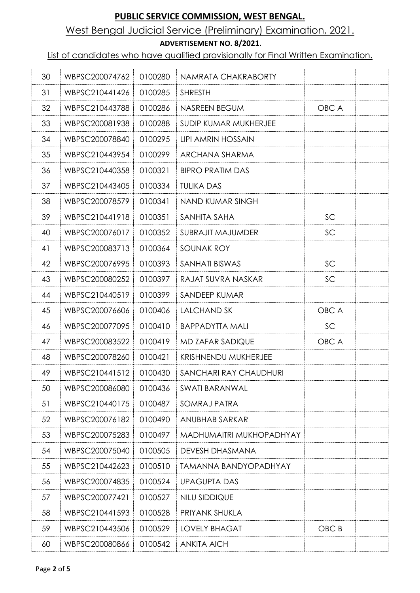# West Bengal Judicial Service (Preliminary) Examination, 2021.

#### **ADVERTISEMENT NO. 8/2021.**

List of candidates who have qualified provisionally for Final Written Examination.

| 30 | WBPSC200074762 | 0100280 | NAMRATA CHAKRABORTY          |       |  |
|----|----------------|---------|------------------------------|-------|--|
| 31 | WBPSC210441426 | 0100285 | <b>SHRESTH</b>               |       |  |
| 32 | WBPSC210443788 | 0100286 | NASREEN BEGUM                | OBC A |  |
| 33 | WBPSC200081938 | 0100288 | SUDIP KUMAR MUKHERJEE        |       |  |
| 34 | WBPSC200078840 | 0100295 | <b>LIPI AMRIN HOSSAIN</b>    |       |  |
| 35 | WBPSC210443954 | 0100299 | ARCHANA SHARMA               |       |  |
| 36 | WBPSC210440358 | 0100321 | <b>BIPRO PRATIM DAS</b>      |       |  |
| 37 | WBPSC210443405 | 0100334 | <b>TULIKA DAS</b>            |       |  |
| 38 | WBPSC200078579 | 0100341 | NAND KUMAR SINGH             |       |  |
| 39 | WBPSC210441918 | 0100351 | SANHITA SAHA                 | SC    |  |
| 40 | WBPSC200076017 | 0100352 | <b>SUBRAJIT MAJUMDER</b>     | SC    |  |
| 41 | WBPSC200083713 | 0100364 | SOUNAK ROY                   |       |  |
| 42 | WBPSC200076995 | 0100393 | SANHATI BISWAS               | SC    |  |
| 43 | WBPSC200080252 | 0100397 | RAJAT SUVRA NASKAR           | SC    |  |
| 44 | WBPSC210440519 | 0100399 | SANDEEP KUMAR                |       |  |
| 45 | WBPSC200076606 | 0100406 | <b>LALCHAND SK</b>           | OBC A |  |
| 46 | WBPSC200077095 | 0100410 | <b>BAPPADYTTA MALI</b>       | SC    |  |
| 47 | WBPSC200083522 | 0100419 | MD ZAFAR SADIQUE             | OBC A |  |
| 48 | WBPSC200078260 | 0100421 | KRISHNENDU MUKHERJEE         |       |  |
| 49 | WBPSC210441512 | 0100430 | SANCHARI RAY CHAUDHURI       |       |  |
| 50 | WBPSC200086080 | 0100436 | <b>SWATI BARANWAL</b>        |       |  |
| 51 | WBPSC210440175 | 0100487 | SOMRAJ PATRA                 |       |  |
| 52 | WBPSC200076182 | 0100490 | ANUBHAB SARKAR               |       |  |
| 53 | WBPSC200075283 | 0100497 | MADHUMAITRI MUKHOPADHYAY     |       |  |
| 54 | WBPSC200075040 | 0100505 | <b>DEVESH DHASMANA</b>       |       |  |
| 55 | WBPSC210442623 | 0100510 | <b>TAMANNA BANDYOPADHYAY</b> |       |  |
| 56 | WBPSC200074835 | 0100524 | <b>UPAGUPTA DAS</b>          |       |  |
| 57 | WBPSC200077421 | 0100527 | NILU SIDDIQUE                |       |  |
| 58 | WBPSC210441593 | 0100528 | PRIYANK SHUKLA               |       |  |
| 59 | WBPSC210443506 | 0100529 | <b>LOVELY BHAGAT</b>         | OBC B |  |
| 60 | WBPSC200080866 | 0100542 | <b>ANKITA AICH</b>           |       |  |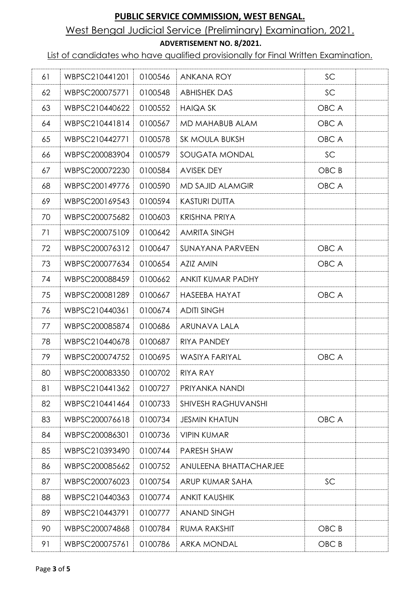# West Bengal Judicial Service (Preliminary) Examination, 2021.

#### **ADVERTISEMENT NO. 8/2021.**

List of candidates who have qualified provisionally for Final Written Examination.

| 61 | WBPSC210441201 | 0100546 | ANKANA ROY                 | SC    |  |
|----|----------------|---------|----------------------------|-------|--|
| 62 | WBPSC200075771 | 0100548 | <b>ABHISHEK DAS</b>        | SC    |  |
| 63 | WBPSC210440622 | 0100552 | <b>HAIQA SK</b>            | OBC A |  |
| 64 | WBPSC210441814 | 0100567 | MD MAHABUB ALAM            | OBC A |  |
| 65 | WBPSC210442771 | 0100578 | SK MOULA BUKSH             | OBC A |  |
| 66 | WBPSC200083904 | 0100579 | SOUGATA MONDAL             | SC    |  |
| 67 | WBPSC200072230 | 0100584 | <b>AVISEK DEY</b>          | OBC B |  |
| 68 | WBPSC200149776 | 0100590 | <b>MD SAJID ALAMGIR</b>    | OBC A |  |
| 69 | WBPSC200169543 | 0100594 | <b>KASTURI DUTTA</b>       |       |  |
| 70 | WBPSC200075682 | 0100603 | <b>KRISHNA PRIYA</b>       |       |  |
| 71 | WBPSC200075109 | 0100642 | <b>AMRITA SINGH</b>        |       |  |
| 72 | WBPSC200076312 | 0100647 | SUNAYANA PARVEEN           | OBC A |  |
| 73 | WBPSC200077634 | 0100654 | <b>AZIZ AMIN</b>           | OBC A |  |
| 74 | WBPSC200088459 | 0100662 | <b>ANKIT KUMAR PADHY</b>   |       |  |
| 75 | WBPSC200081289 | 0100667 | <b>HASEEBA HAYAT</b>       | OBC A |  |
| 76 | WBPSC210440361 | 0100674 | <b>ADITI SINGH</b>         |       |  |
| 77 | WBPSC200085874 | 0100686 | ARUNAVA LALA               |       |  |
| 78 | WBPSC210440678 | 0100687 | <b>RIYA PANDEY</b>         |       |  |
| 79 | WBPSC200074752 | 0100695 | <b>WASIYA FARIYAL</b>      | OBC A |  |
| 80 | WBPSC200083350 | 0100702 | <b>RIYA RAY</b>            |       |  |
| 81 | WBPSC210441362 | 0100727 | PRIYANKA NANDI             |       |  |
| 82 | WBPSC210441464 | 0100733 | <b>SHIVESH RAGHUVANSHI</b> |       |  |
| 83 | WBPSC200076618 | 0100734 | <b>JESMIN KHATUN</b>       | OBC A |  |
| 84 | WBPSC200086301 | 0100736 | <b>VIPIN KUMAR</b>         |       |  |
| 85 | WBPSC210393490 | 0100744 | PARESH SHAW                |       |  |
| 86 | WBPSC200085662 | 0100752 | ANULEENA BHATTACHARJEE     |       |  |
| 87 | WBPSC200076023 | 0100754 | ARUP KUMAR SAHA            | SC    |  |
| 88 | WBPSC210440363 | 0100774 | <b>ANKIT KAUSHIK</b>       |       |  |
| 89 | WBPSC210443791 | 0100777 | <b>ANAND SINGH</b>         |       |  |
| 90 | WBPSC200074868 | 0100784 | <b>RUMA RAKSHIT</b>        | OBC B |  |
| 91 | WBPSC200075761 | 0100786 | <b>ARKA MONDAL</b>         | OBC B |  |
|    |                |         |                            |       |  |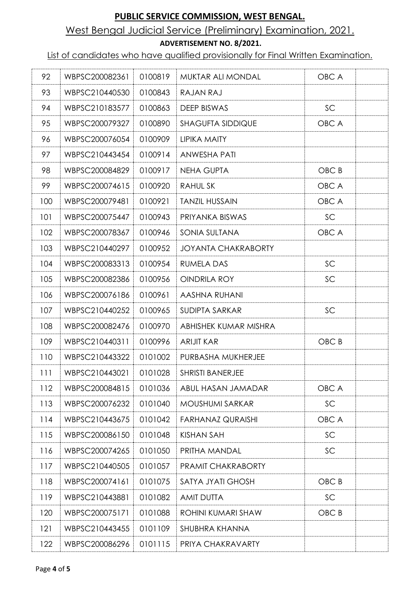# West Bengal Judicial Service (Preliminary) Examination, 2021.

#### **ADVERTISEMENT NO. 8/2021.**

List of candidates who have qualified provisionally for Final Written Examination.

| 92  | WBPSC200082361 | 0100819 | <b>MUKTAR ALI MONDAL</b>   | OBC A |  |
|-----|----------------|---------|----------------------------|-------|--|
| 93  | WBPSC210440530 | 0100843 | RAJAN RAJ                  |       |  |
| 94  | WBPSC210183577 | 0100863 | DEEP BISWAS                | SC    |  |
| 95  | WBPSC200079327 | 0100890 | <b>SHAGUFTA SIDDIQUE</b>   | OBC A |  |
| 96  | WBPSC200076054 | 0100909 | <b>LIPIKA MAITY</b>        |       |  |
| 97  | WBPSC210443454 | 0100914 | <b>ANWESHA PATI</b>        |       |  |
| 98  | WBPSC200084829 | 0100917 | <b>NEHA GUPTA</b>          | OBC B |  |
| 99  | WBPSC200074615 | 0100920 | <b>RAHULSK</b>             | OBC A |  |
| 100 | WBPSC200079481 | 0100921 | <b>TANZIL HUSSAIN</b>      | OBC A |  |
| 101 | WBPSC200075447 | 0100943 | PRIYANKA BISWAS            | SC    |  |
| 102 | WBPSC200078367 | 0100946 | SONIA SULTANA              | OBC A |  |
| 103 | WBPSC210440297 | 0100952 | <b>JOYANTA CHAKRABORTY</b> |       |  |
| 104 | WBPSC200083313 | 0100954 | <b>RUMELA DAS</b>          | SC    |  |
| 105 | WBPSC200082386 | 0100956 | OINDRILA ROY               | SC    |  |
| 106 | WBPSC200076186 | 0100961 | AASHNA RUHANI              |       |  |
| 107 | WBPSC210440252 | 0100965 | <b>SUDIPTA SARKAR</b>      | SC    |  |
| 108 | WBPSC200082476 | 0100970 | ABHISHEK KUMAR MISHRA      |       |  |
| 109 | WBPSC210440311 | 0100996 | <b>ARIJIT KAR</b>          | OBC B |  |
| 110 | WBPSC210443322 | 0101002 | PURBASHA MUKHERJEE         |       |  |
| 111 | WBPSC210443021 | 0101028 | <b>SHRISTI BANERJEE</b>    |       |  |
| 112 | WBPSC200084815 | 0101036 | ABUL HASAN JAMADAR         | OBC A |  |
| 113 | WBPSC200076232 | 0101040 | <b>MOUSHUMI SARKAR</b>     | SC    |  |
| 114 | WBPSC210443675 | 0101042 | <b>FARHANAZ QURAISHI</b>   | OBC A |  |
| 115 | WBPSC200086150 | 0101048 | <b>KISHAN SAH</b>          | SC    |  |
| 116 | WBPSC200074265 | 0101050 | PRITHA MANDAL              | SC    |  |
| 117 | WBPSC210440505 | 0101057 | PRAMIT CHAKRABORTY         |       |  |
| 118 | WBPSC200074161 | 0101075 | SATYA JYATI GHOSH          | OBC B |  |
| 119 | WBPSC210443881 | 0101082 | <b>AMIT DUTTA</b>          | SC    |  |
| 120 | WBPSC200075171 | 0101088 | ROHINI KUMARI SHAW         | OBC B |  |
| 121 | WBPSC210443455 | 0101109 | SHUBHRA KHANNA             |       |  |
| 122 | WBPSC200086296 | 0101115 | PRIYA CHAKRAVARTY          |       |  |